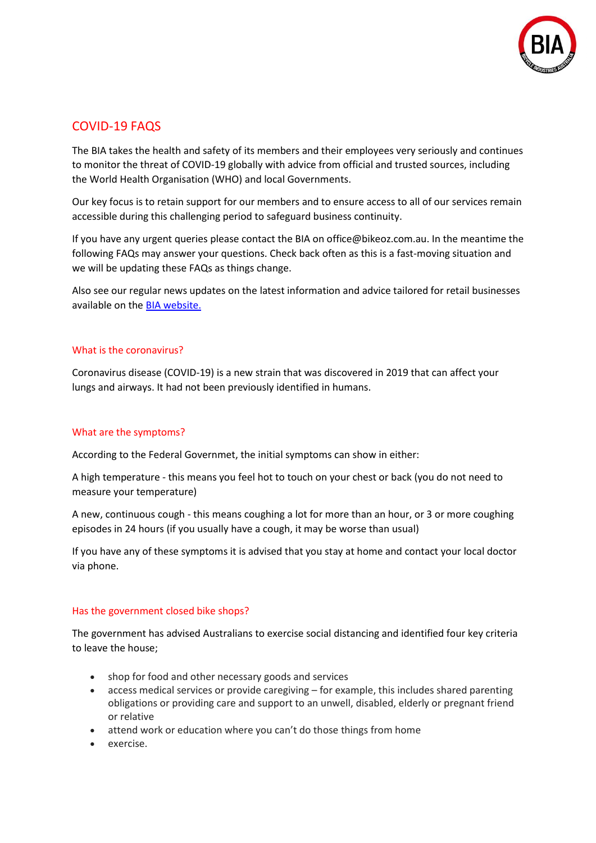

# COVID-19 FAQS

The BIA takes the health and safety of its members and their employees very seriously and continues to monitor the threat of COVID-19 globally with advice from official and trusted sources, including the World Health Organisation (WHO) and local Governments.

Our key focus is to retain support for our members and to ensure access to all of our services remain accessible during this challenging period to safeguard business continuity.

If you have any urgent queries please contact the BIA on office@bikeoz.com.au. In the meantime the following FAQs may answer your questions. Check back often as this is a fast-moving situation and we will be updating these FAQs as things change.

Also see our regular news updates on the latest information and advice tailored for retail businesses available on th[e BIA website.](bikeoz.org)

### What is the coronavirus?

Coronavirus disease (COVID-19) is a new strain that was discovered in 2019 that can affect your lungs and airways. It had not been previously identified in humans.

# What are the symptoms?

According to the Federal Governmet, the initial symptoms can show in either:

A high temperature - this means you feel hot to touch on your chest or back (you do not need to measure your temperature)

A new, continuous cough - this means coughing a lot for more than an hour, or 3 or more coughing episodes in 24 hours (if you usually have a cough, it may be worse than usual)

If you have any of these symptoms it is advised that you stay at home and contact your local doctor via phone.

#### Has the government closed bike shops?

The government has advised Australians to exercise social distancing and identified four key criteria to leave the house;

- shop for food and other necessary goods and services
- access medical services or provide caregiving for example, this includes shared parenting obligations or providing care and support to an unwell, disabled, elderly or pregnant friend or relative
- attend work or education where you can't do those things from home
- exercise.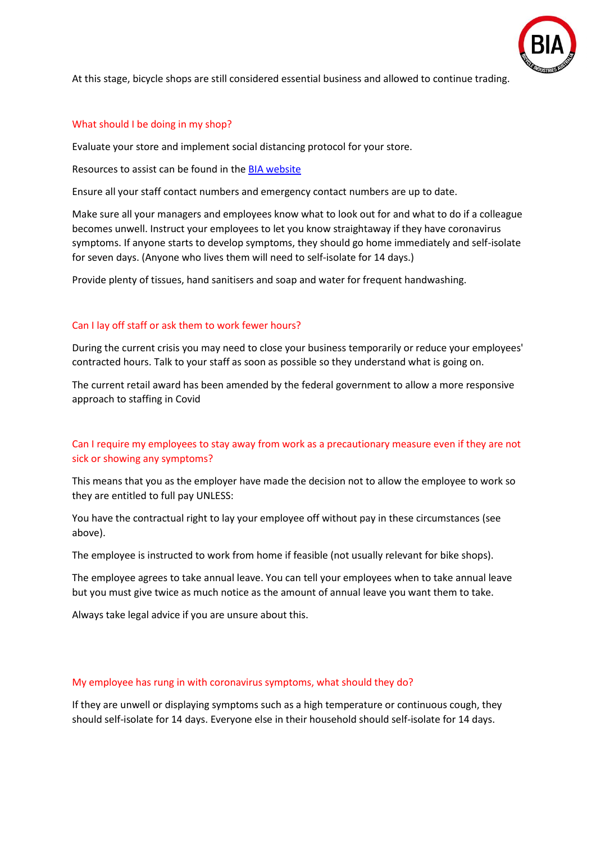

At this stage, bicycle shops are still considered essential business and allowed to continue trading.

#### What should I be doing in my shop?

Evaluate your store and implement social distancing protocol for your store.

Resources to assist can be found in the [BIA website](https://bb253525-e1ab-4289-927d-7f42bd9dfafe.filesusr.com/ugd/27b1f8_ce57a2b2ae8d4c0097255107133c8e2a.pdf)

Ensure all your staff contact numbers and emergency contact numbers are up to date.

Make sure all your managers and employees know what to look out for and what to do if a colleague becomes unwell. Instruct your employees to let you know straightaway if they have coronavirus symptoms. If anyone starts to develop symptoms, they should go home immediately and self-isolate for seven days. (Anyone who lives them will need to self-isolate for 14 days.)

Provide plenty of tissues, hand sanitisers and soap and water for frequent handwashing.

# Can I lay off staff or ask them to work fewer hours?

During the current crisis you may need to close your business temporarily or reduce your employees' contracted hours. Talk to your staff as soon as possible so they understand what is going on.

The current retail award has been amended by the federal government to allow a more responsive approach to staffing in Covid

# Can I require my employees to stay away from work as a precautionary measure even if they are not sick or showing any symptoms?

This means that you as the employer have made the decision not to allow the employee to work so they are entitled to full pay UNLESS:

You have the contractual right to lay your employee off without pay in these circumstances (see above).

The employee is instructed to work from home if feasible (not usually relevant for bike shops).

The employee agrees to take annual leave. You can tell your employees when to take annual leave but you must give twice as much notice as the amount of annual leave you want them to take.

Always take legal advice if you are unsure about this.

#### My employee has rung in with coronavirus symptoms, what should they do?

If they are unwell or displaying symptoms such as a high temperature or continuous cough, they should self-isolate for 14 days. Everyone else in their household should self-isolate for 14 days.